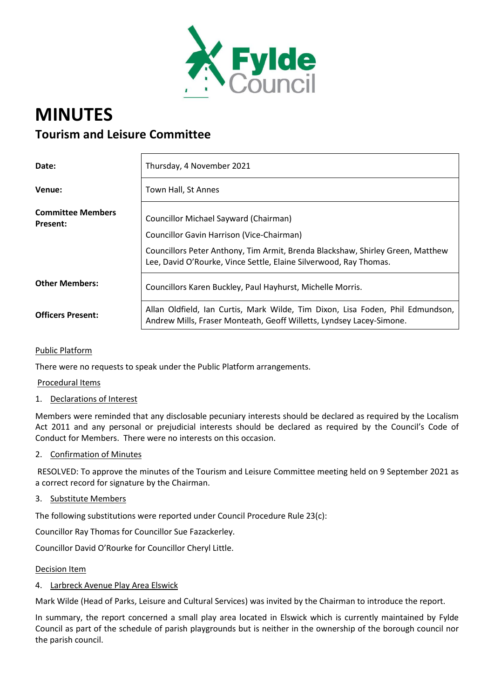

# **MINUTES Tourism and Leisure Committee**

| Date:                                       | Thursday, 4 November 2021                                                                                                                              |
|---------------------------------------------|--------------------------------------------------------------------------------------------------------------------------------------------------------|
| Venue:                                      | Town Hall, St Annes                                                                                                                                    |
| <b>Committee Members</b><br><b>Present:</b> | Councillor Michael Sayward (Chairman)<br>Councillor Gavin Harrison (Vice-Chairman)                                                                     |
|                                             | Councillors Peter Anthony, Tim Armit, Brenda Blackshaw, Shirley Green, Matthew<br>Lee, David O'Rourke, Vince Settle, Elaine Silverwood, Ray Thomas.    |
| <b>Other Members:</b>                       | Councillors Karen Buckley, Paul Hayhurst, Michelle Morris.                                                                                             |
| <b>Officers Present:</b>                    | Allan Oldfield, Ian Curtis, Mark Wilde, Tim Dixon, Lisa Foden, Phil Edmundson,<br>Andrew Mills, Fraser Monteath, Geoff Willetts, Lyndsey Lacey-Simone. |

## Public Platform

There were no requests to speak under the Public Platform arrangements.

### Procedural Items

#### 1. Declarations of Interest

Members were reminded that any disclosable pecuniary interests should be declared as required by the Localism Act 2011 and any personal or prejudicial interests should be declared as required by the Council's Code of Conduct for Members. There were no interests on this occasion.

2. Confirmation of Minutes

RESOLVED: To approve the minutes of the Tourism and Leisure Committee meeting held on 9 September 2021 as a correct record for signature by the Chairman.

3. Substitute Members

The following substitutions were reported under Council Procedure Rule 23(c):

Councillor Ray Thomas for Councillor Sue Fazackerley.

Councillor David O'Rourke for Councillor Cheryl Little.

#### Decision Item

## 4. Larbreck Avenue Play Area Elswick

Mark Wilde (Head of Parks, Leisure and Cultural Services) was invited by the Chairman to introduce the report.

In summary, the report concerned a small play area located in Elswick which is currently maintained by Fylde Council as part of the schedule of parish playgrounds but is neither in the ownership of the borough council nor the parish council.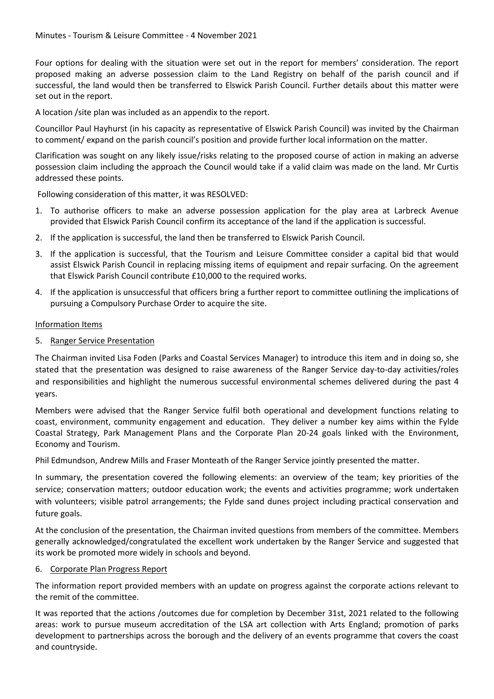Four options for dealing with the situation were set out in the report for members' consideration. The report proposed making an adverse possession claim to the Land Registry on behalf of the parish council and if successful, the land would then be transferred to Elswick Parish Council. Further details about this matter were set out in the report.

A location /site plan was included as an appendix to the report.

Councillor Paul Hayhurst (in his capacity as representative of Elswick Parish Council) was invited by the Chairman to comment/ expand on the parish council's position and provide further local information on the matter.

Clarification was sought on any likely issue/risks relating to the proposed course of action in making an adverse possession claim including the approach the Council would take if a valid claim was made on the land. Mr Curtis addressed these points.

Following consideration of this matter, it was RESOLVED:

- 1. To authorise officers to make an adverse possession application for the play area at Larbreck Avenue provided that Elswick Parish Council confirm its acceptance of the land if the application is successful.
- 2. If the application is successful, the land then be transferred to Elswick Parish Council.
- 3. If the application is successful, that the Tourism and Leisure Committee consider a capital bid that would assist Elswick Parish Council in replacing missing items of equipment and repair surfacing. On the agreement that Elswick Parish Council contribute £10,000 to the required works.
- 4. If the application is unsuccessful that officers bring a further report to committee outlining the implications of pursuing a Compulsory Purchase Order to acquire the site.

#### Information Items

5. Ranger Service Presentation

The Chairman invited Lisa Foden (Parks and Coastal Services Manager) to introduce this item and in doing so, she stated that the presentation was designed to raise awareness of the Ranger Service day-to-day activities/roles and responsibilities and highlight the numerous successful environmental schemes delivered during the past 4 years.

Members were advised that the Ranger Service fulfil both operational and development functions relating to coast, environment, community engagement and education. They deliver a number key aims within the Fylde Coastal Strategy, Park Management Plans and the Corporate Plan 20-24 goals linked with the Environment, Economy and Tourism.

Phil Edmundson, Andrew Mills and Fraser Monteath of the Ranger Service jointly presented the matter.

In summary, the presentation covered the following elements: an overview of the team; key priorities of the service; conservation matters; outdoor education work; the events and activities programme; work undertaken with volunteers; visible patrol arrangements; the Fylde sand dunes project including practical conservation and future goals.

At the conclusion of the presentation, the Chairman invited questions from members of the committee. Members generally acknowledged/congratulated the excellent work undertaken by the Ranger Service and suggested that its work be promoted more widely in schools and beyond.

#### 6. Corporate Plan Progress Report

The information report provided members with an update on progress against the corporate actions relevant to the remit of the committee.

It was reported that the actions /outcomes due for completion by December 31st, 2021 related to the following areas: work to pursue museum accreditation of the LSA art collection with Arts England; promotion of parks development to partnerships across the borough and the delivery of an events programme that covers the coast and countryside.